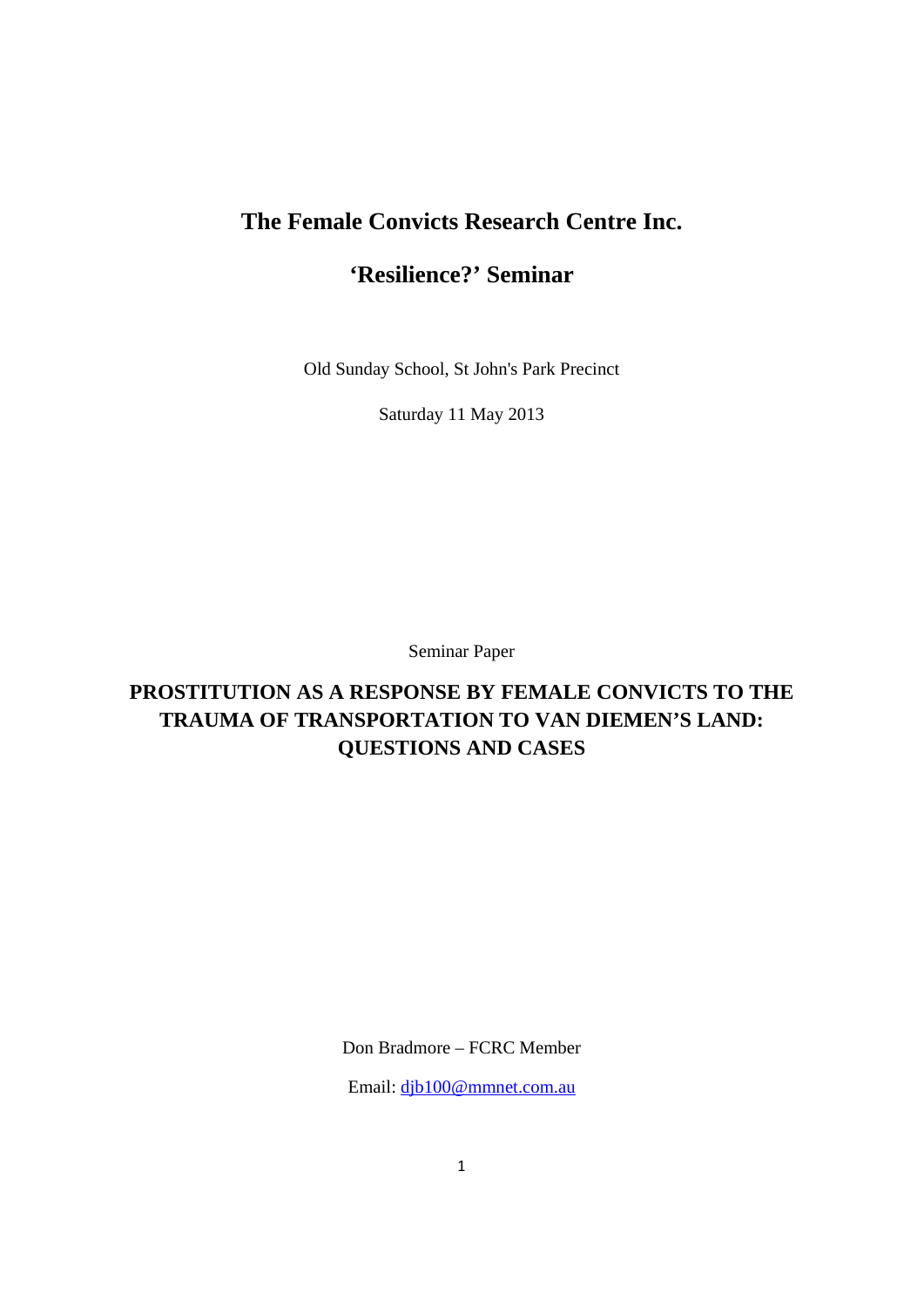# **The Female Convicts Research Centre Inc.**

# **'Resilience?' Seminar**

Old Sunday School, St John's Park Precinct

Saturday 11 May 2013

Seminar Paper

# **PROSTITUTION AS A RESPONSE BY FEMALE CONVICTS TO THE TRAUMA OF TRANSPORTATION TO VAN DIEMEN'S LAND: QUESTIONS AND CASES**

Don Bradmore – FCRC Member

Email: djb100@mmnet.com.au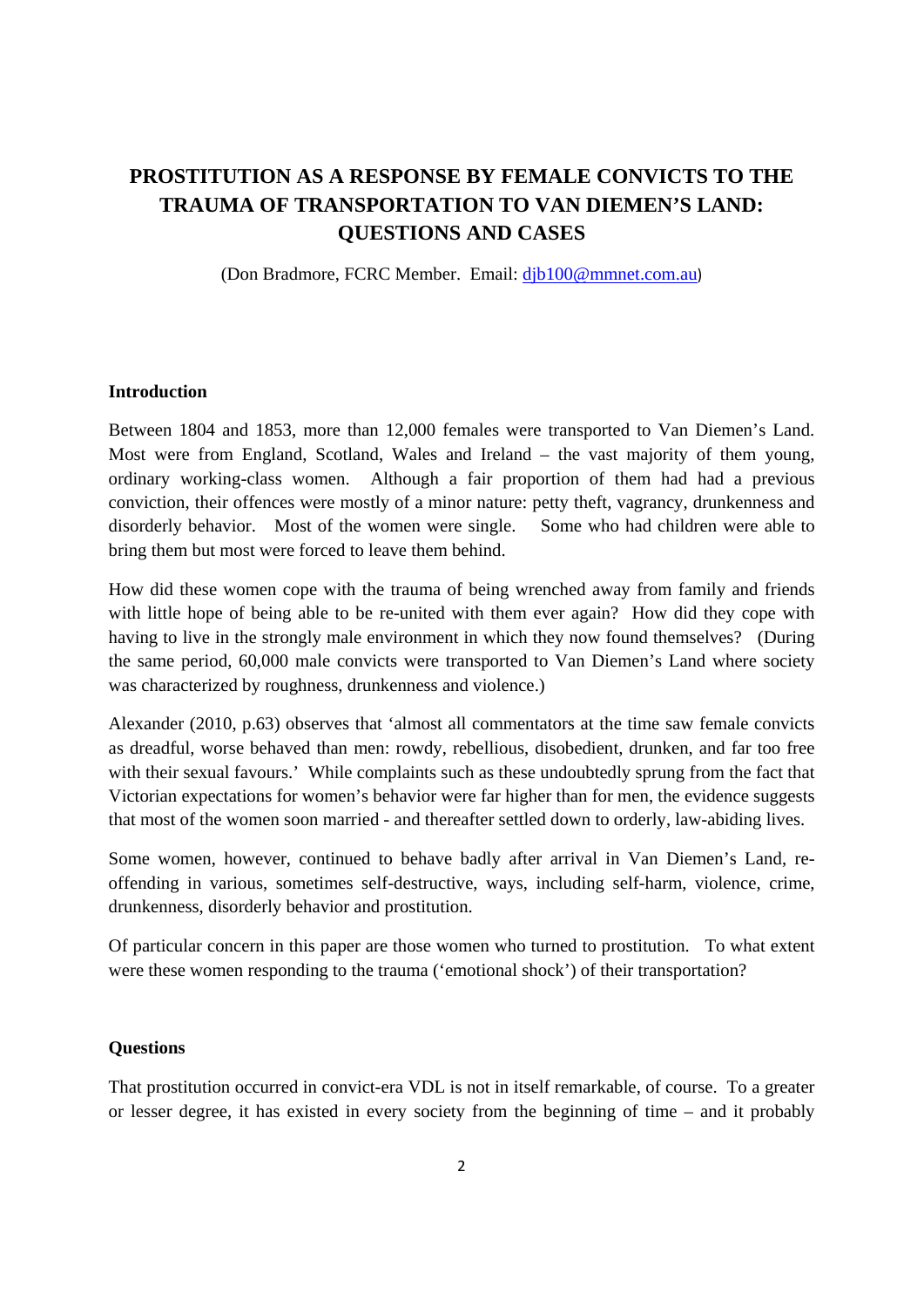# **PROSTITUTION AS A RESPONSE BY FEMALE CONVICTS TO THE TRAUMA OF TRANSPORTATION TO VAN DIEMEN'S LAND: QUESTIONS AND CASES**

(Don Bradmore, FCRC Member. Email: djb100@mmnet.com.au)

#### **Introduction**

Between 1804 and 1853, more than 12,000 females were transported to Van Diemen's Land. Most were from England, Scotland, Wales and Ireland – the vast majority of them young, ordinary working-class women. Although a fair proportion of them had had a previous conviction, their offences were mostly of a minor nature: petty theft, vagrancy, drunkenness and disorderly behavior. Most of the women were single. Some who had children were able to bring them but most were forced to leave them behind.

How did these women cope with the trauma of being wrenched away from family and friends with little hope of being able to be re-united with them ever again? How did they cope with having to live in the strongly male environment in which they now found themselves? (During the same period, 60,000 male convicts were transported to Van Diemen's Land where society was characterized by roughness, drunkenness and violence.)

Alexander (2010, p.63) observes that 'almost all commentators at the time saw female convicts as dreadful, worse behaved than men: rowdy, rebellious, disobedient, drunken, and far too free with their sexual favours.' While complaints such as these undoubtedly sprung from the fact that Victorian expectations for women's behavior were far higher than for men, the evidence suggests that most of the women soon married - and thereafter settled down to orderly, law-abiding lives.

Some women, however, continued to behave badly after arrival in Van Diemen's Land, reoffending in various, sometimes self-destructive, ways, including self-harm, violence, crime, drunkenness, disorderly behavior and prostitution.

Of particular concern in this paper are those women who turned to prostitution. To what extent were these women responding to the trauma ('emotional shock') of their transportation?

#### **Questions**

That prostitution occurred in convict-era VDL is not in itself remarkable, of course. To a greater or lesser degree, it has existed in every society from the beginning of time – and it probably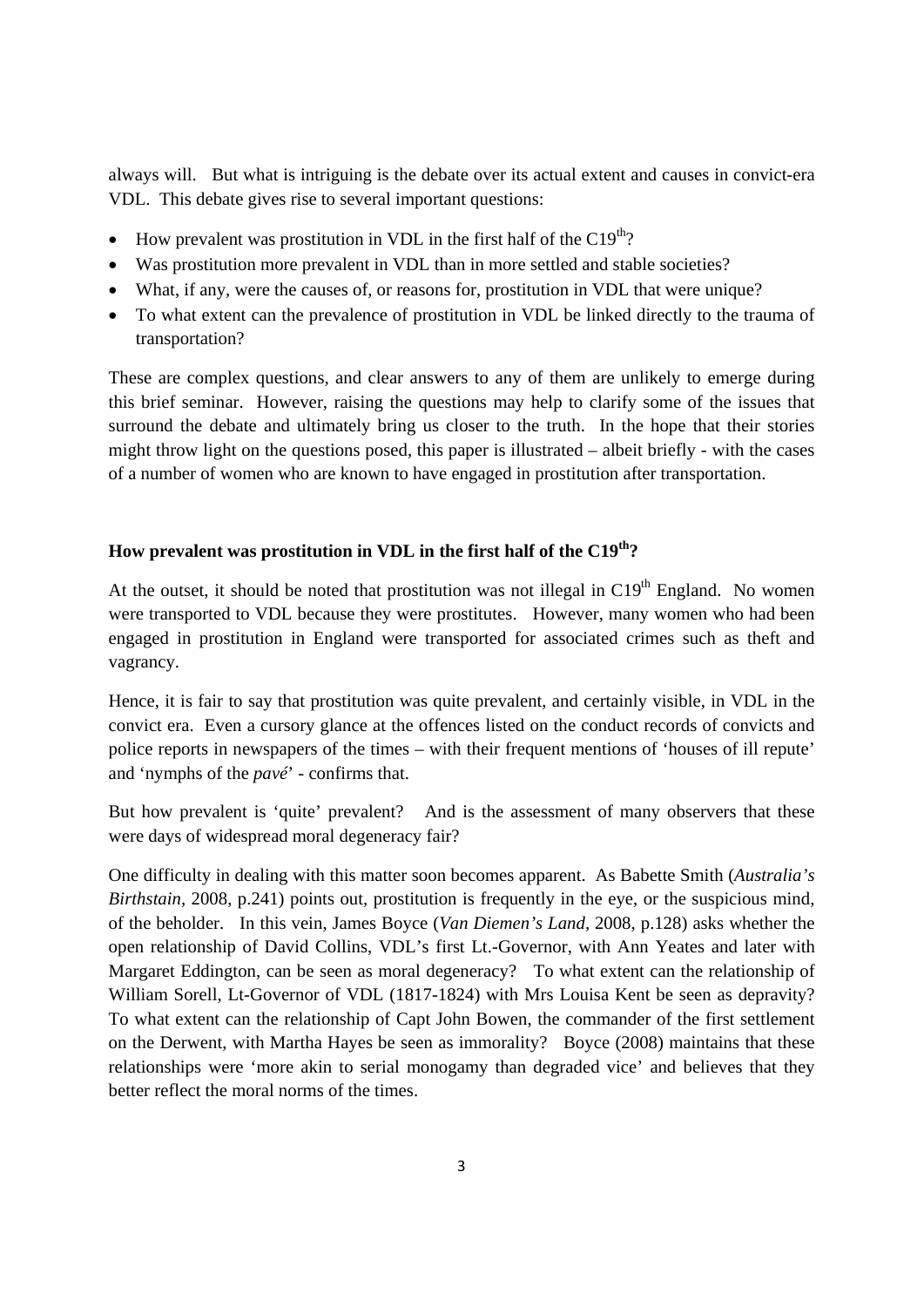always will. But what is intriguing is the debate over its actual extent and causes in convict-era VDL. This debate gives rise to several important questions:

- $\bullet$  How prevalent was prostitution in VDL in the first half of the C19<sup>th</sup>?
- Was prostitution more prevalent in VDL than in more settled and stable societies?
- What, if any, were the causes of, or reasons for, prostitution in VDL that were unique?
- To what extent can the prevalence of prostitution in VDL be linked directly to the trauma of transportation?

These are complex questions, and clear answers to any of them are unlikely to emerge during this brief seminar. However, raising the questions may help to clarify some of the issues that surround the debate and ultimately bring us closer to the truth. In the hope that their stories might throw light on the questions posed, this paper is illustrated – albeit briefly - with the cases of a number of women who are known to have engaged in prostitution after transportation.

## **How prevalent was prostitution in VDL in the first half of the C19th?**

At the outset, it should be noted that prostitution was not illegal in  $C19<sup>th</sup>$  England. No women were transported to VDL because they were prostitutes. However, many women who had been engaged in prostitution in England were transported for associated crimes such as theft and vagrancy.

Hence, it is fair to say that prostitution was quite prevalent, and certainly visible, in VDL in the convict era. Even a cursory glance at the offences listed on the conduct records of convicts and police reports in newspapers of the times – with their frequent mentions of 'houses of ill repute' and 'nymphs of the *pavé*' - confirms that.

But how prevalent is 'quite' prevalent? And is the assessment of many observers that these were days of widespread moral degeneracy fair?

One difficulty in dealing with this matter soon becomes apparent. As Babette Smith (*Australia's Birthstain,* 2008, p.241) points out*,* prostitution is frequently in the eye, or the suspicious mind, of the beholder. In this vein, James Boyce (*Van Diemen's Land,* 2008, p.128) asks whether the open relationship of David Collins, VDL's first Lt.-Governor, with Ann Yeates and later with Margaret Eddington, can be seen as moral degeneracy? To what extent can the relationship of William Sorell, Lt-Governor of VDL (1817-1824) with Mrs Louisa Kent be seen as depravity? To what extent can the relationship of Capt John Bowen, the commander of the first settlement on the Derwent, with Martha Hayes be seen as immorality? Boyce (2008) maintains that these relationships were 'more akin to serial monogamy than degraded vice' and believes that they better reflect the moral norms of the times.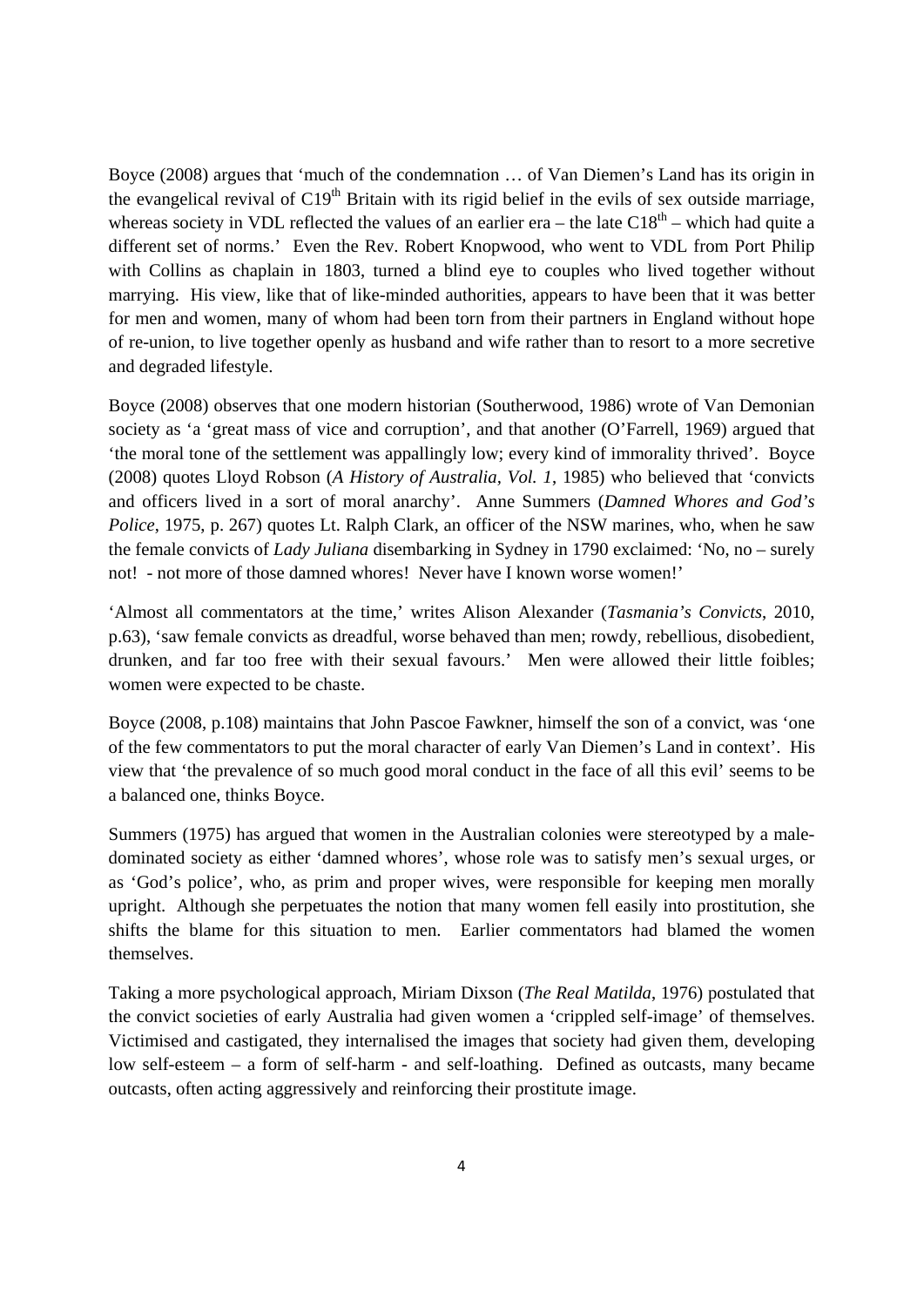Boyce (2008) argues that 'much of the condemnation … of Van Diemen's Land has its origin in the evangelical revival of  $C19<sup>th</sup>$  Britain with its rigid belief in the evils of sex outside marriage, whereas society in VDL reflected the values of an earlier era – the late  $C18<sup>th</sup>$  – which had quite a different set of norms.' Even the Rev. Robert Knopwood, who went to VDL from Port Philip with Collins as chaplain in 1803, turned a blind eye to couples who lived together without marrying. His view, like that of like-minded authorities, appears to have been that it was better for men and women, many of whom had been torn from their partners in England without hope of re-union, to live together openly as husband and wife rather than to resort to a more secretive and degraded lifestyle.

Boyce (2008) observes that one modern historian (Southerwood, 1986) wrote of Van Demonian society as 'a 'great mass of vice and corruption', and that another (O'Farrell, 1969) argued that 'the moral tone of the settlement was appallingly low; every kind of immorality thrived'. Boyce (2008) quotes Lloyd Robson (*A History of Australia, Vol. 1*, 1985) who believed that 'convicts and officers lived in a sort of moral anarchy'. Anne Summers (*Damned Whores and God's Police*, 1975, p. 267) quotes Lt. Ralph Clark, an officer of the NSW marines, who, when he saw the female convicts of *Lady Juliana* disembarking in Sydney in 1790 exclaimed: 'No, no – surely not! - not more of those damned whores! Never have I known worse women!'

'Almost all commentators at the time,' writes Alison Alexander (*Tasmania's Convicts*, 2010, p.63), 'saw female convicts as dreadful, worse behaved than men; rowdy, rebellious, disobedient, drunken, and far too free with their sexual favours.' Men were allowed their little foibles; women were expected to be chaste.

Boyce (2008, p.108) maintains that John Pascoe Fawkner, himself the son of a convict, was 'one of the few commentators to put the moral character of early Van Diemen's Land in context'. His view that 'the prevalence of so much good moral conduct in the face of all this evil' seems to be a balanced one, thinks Boyce.

Summers (1975) has argued that women in the Australian colonies were stereotyped by a maledominated society as either 'damned whores', whose role was to satisfy men's sexual urges, or as 'God's police', who, as prim and proper wives, were responsible for keeping men morally upright. Although she perpetuates the notion that many women fell easily into prostitution, she shifts the blame for this situation to men. Earlier commentators had blamed the women themselves.

Taking a more psychological approach, Miriam Dixson (*The Real Matilda*, 1976) postulated that the convict societies of early Australia had given women a 'crippled self-image' of themselves. Victimised and castigated, they internalised the images that society had given them, developing low self-esteem – a form of self-harm - and self-loathing. Defined as outcasts, many became outcasts, often acting aggressively and reinforcing their prostitute image.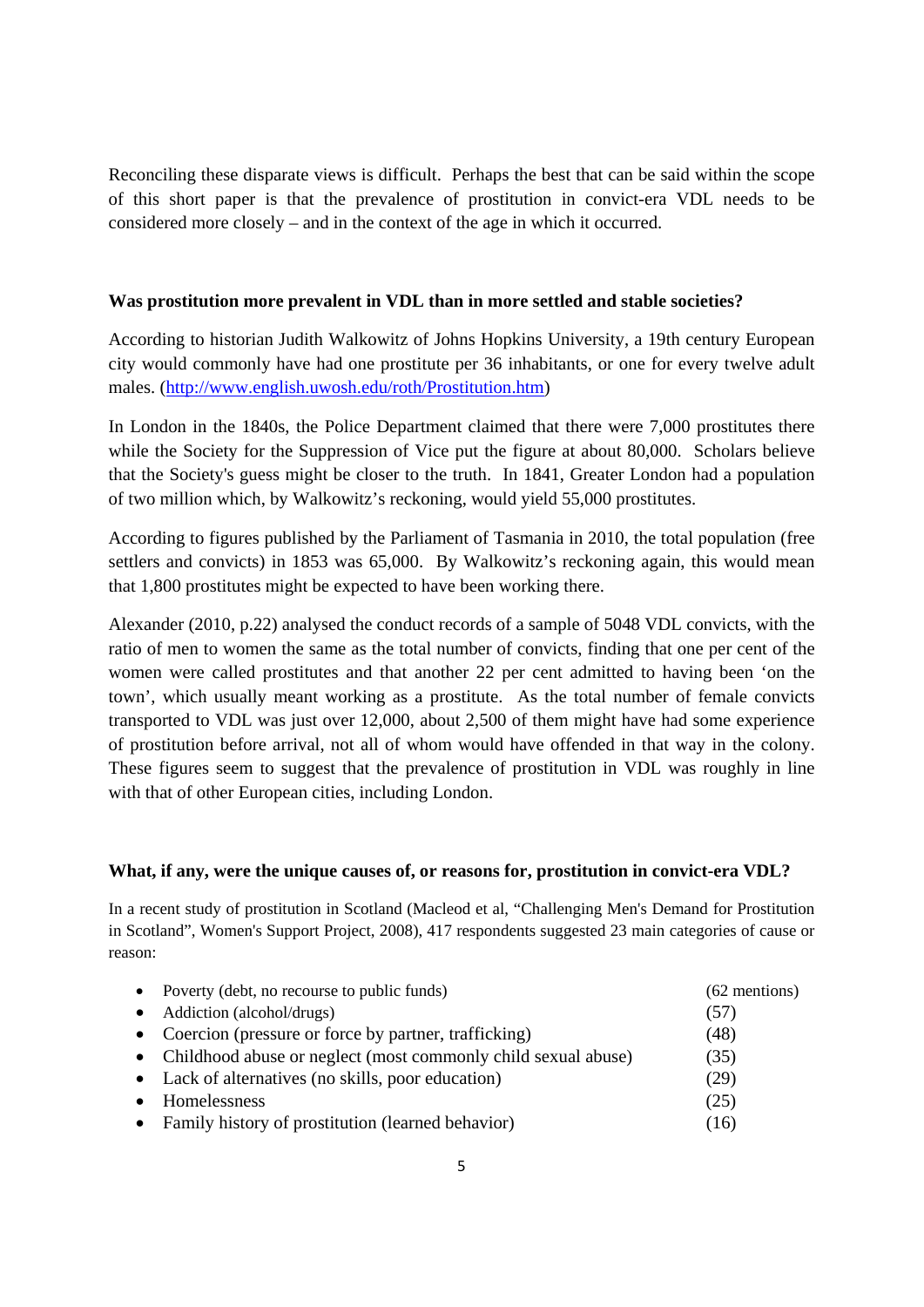Reconciling these disparate views is difficult. Perhaps the best that can be said within the scope of this short paper is that the prevalence of prostitution in convict-era VDL needs to be considered more closely – and in the context of the age in which it occurred.

## **Was prostitution more prevalent in VDL than in more settled and stable societies?**

According to historian Judith Walkowitz of Johns Hopkins University, a 19th century European city would commonly have had one prostitute per 36 inhabitants, or one for every twelve adult males. (http://www.english.uwosh.edu/roth/Prostitution.htm)

In London in the 1840s, the Police Department claimed that there were 7,000 prostitutes there while the Society for the Suppression of Vice put the figure at about 80,000. Scholars believe that the Society's guess might be closer to the truth. In 1841, Greater London had a population of two million which, by Walkowitz's reckoning, would yield 55,000 prostitutes.

According to figures published by the Parliament of Tasmania in 2010, the total population (free settlers and convicts) in 1853 was 65,000. By Walkowitz's reckoning again, this would mean that 1,800 prostitutes might be expected to have been working there.

Alexander (2010, p.22) analysed the conduct records of a sample of 5048 VDL convicts, with the ratio of men to women the same as the total number of convicts, finding that one per cent of the women were called prostitutes and that another 22 per cent admitted to having been 'on the town', which usually meant working as a prostitute. As the total number of female convicts transported to VDL was just over 12,000, about 2,500 of them might have had some experience of prostitution before arrival, not all of whom would have offended in that way in the colony. These figures seem to suggest that the prevalence of prostitution in VDL was roughly in line with that of other European cities, including London.

## **What, if any, were the unique causes of, or reasons for, prostitution in convict-era VDL?**

In a recent study of prostitution in Scotland (Macleod et al, "Challenging Men's Demand for Prostitution in Scotland", Women's Support Project, 2008), 417 respondents suggested 23 main categories of cause or reason:

| • Poverty (debt, no recourse to public funds)                   | $(62$ mentions) |
|-----------------------------------------------------------------|-----------------|
| • Addiction (alcohol/drugs)                                     | (57)            |
| • Coercion (pressure or force by partner, trafficking)          | (48)            |
| • Childhood abuse or neglect (most commonly child sexual abuse) | (35)            |
| • Lack of alternatives (no skills, poor education)              | (29)            |
| • Homelessness                                                  | (25)            |
| • Family history of prostitution (learned behavior)             | (16)            |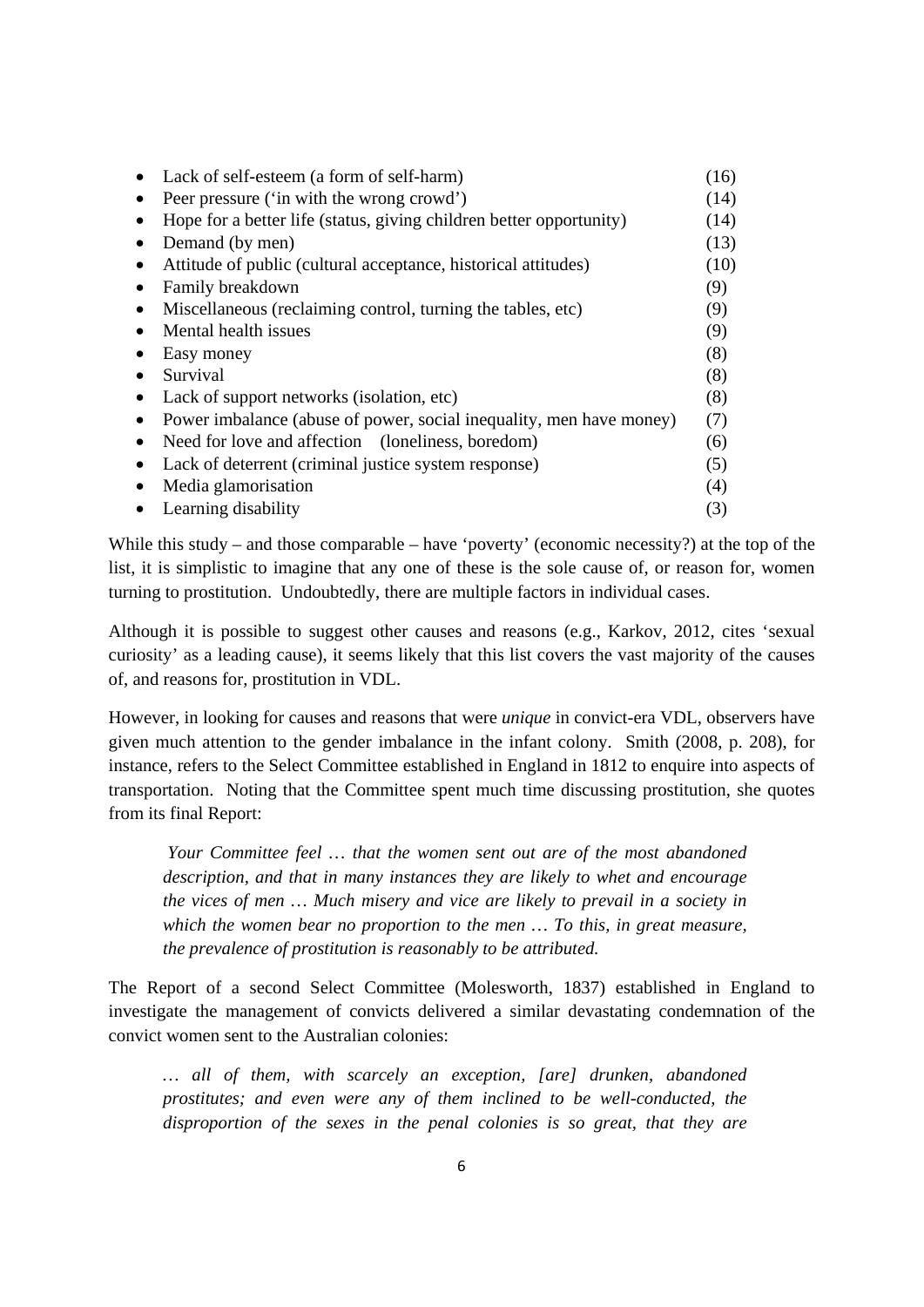| Lack of self-esteem (a form of self-harm)                           | (16) |
|---------------------------------------------------------------------|------|
| Peer pressure ('in with the wrong crowd')                           | (14) |
| Hope for a better life (status, giving children better opportunity) | (14) |
| Demand (by men)                                                     | (13) |
| Attitude of public (cultural acceptance, historical attitudes)      | (10) |
| Family breakdown                                                    | (9)  |
| Miscellaneous (reclaiming control, turning the tables, etc)         | (9)  |
| Mental health issues                                                | (9)  |
| Easy money                                                          | (8)  |
| Survival                                                            | (8)  |
| Lack of support networks (isolation, etc)                           | (8)  |
| Power imbalance (abuse of power, social inequality, men have money) | (7)  |
| Need for love and affection (loneliness, boredom)                   | (6)  |
| Lack of deterrent (criminal justice system response)                | (5)  |
| Media glamorisation                                                 | (4)  |
| Learning disability                                                 | (3)  |

While this study – and those comparable – have 'poverty' (economic necessity?) at the top of the list, it is simplistic to imagine that any one of these is the sole cause of, or reason for, women turning to prostitution. Undoubtedly, there are multiple factors in individual cases.

Although it is possible to suggest other causes and reasons (e.g., Karkov, 2012, cites 'sexual curiosity' as a leading cause), it seems likely that this list covers the vast majority of the causes of, and reasons for, prostitution in VDL.

However, in looking for causes and reasons that were *unique* in convict-era VDL, observers have given much attention to the gender imbalance in the infant colony. Smith (2008, p. 208), for instance, refers to the Select Committee established in England in 1812 to enquire into aspects of transportation. Noting that the Committee spent much time discussing prostitution, she quotes from its final Report:

 *Your Committee feel … that the women sent out are of the most abandoned description, and that in many instances they are likely to whet and encourage the vices of men … Much misery and vice are likely to prevail in a society in which the women bear no proportion to the men … To this, in great measure, the prevalence of prostitution is reasonably to be attributed.* 

The Report of a second Select Committee (Molesworth, 1837) established in England to investigate the management of convicts delivered a similar devastating condemnation of the convict women sent to the Australian colonies:

*… all of them, with scarcely an exception, [are] drunken, abandoned prostitutes; and even were any of them inclined to be well-conducted, the disproportion of the sexes in the penal colonies is so great, that they are*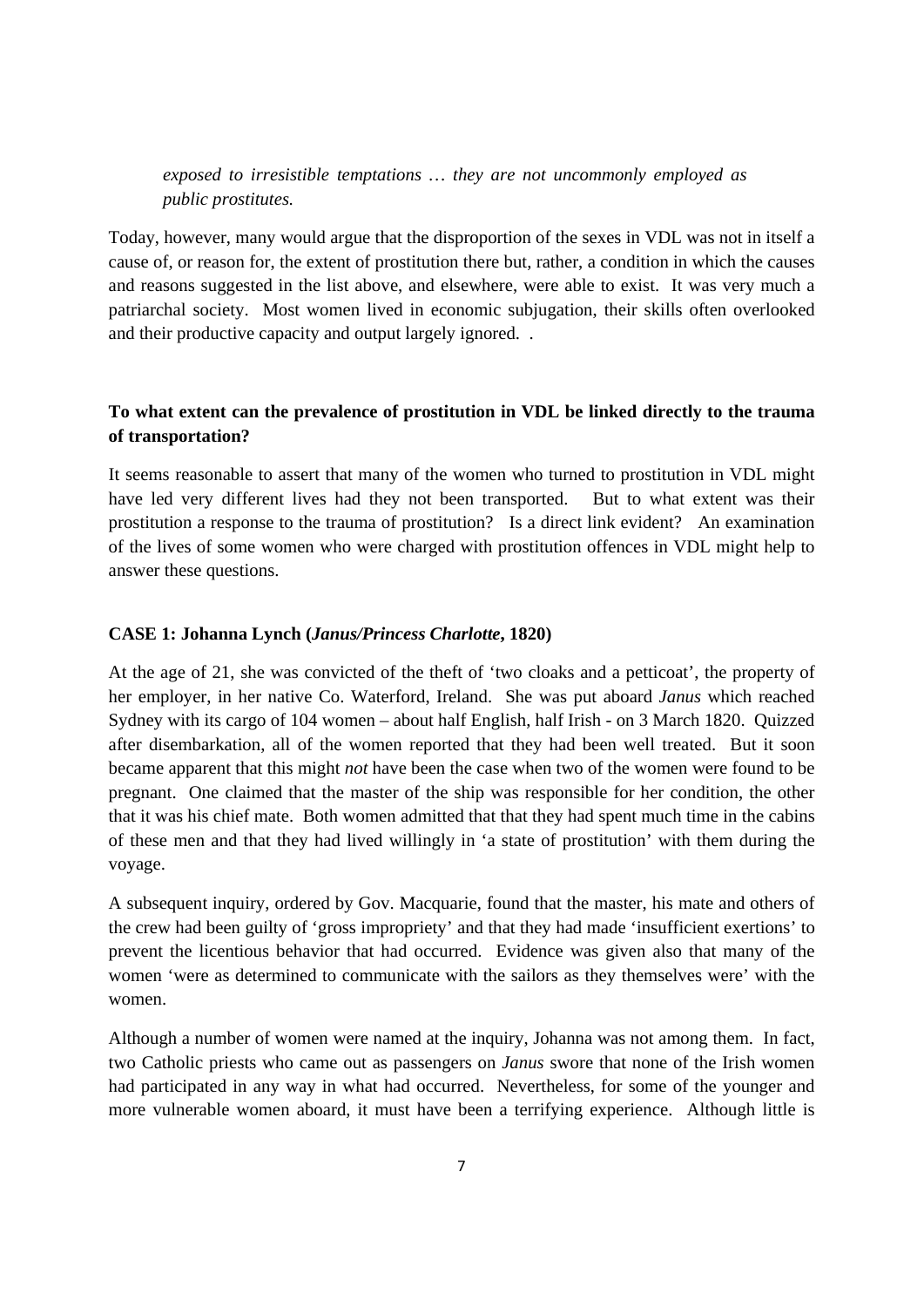*exposed to irresistible temptations … they are not uncommonly employed as public prostitutes.* 

Today, however, many would argue that the disproportion of the sexes in VDL was not in itself a cause of, or reason for, the extent of prostitution there but, rather, a condition in which the causes and reasons suggested in the list above, and elsewhere, were able to exist. It was very much a patriarchal society. Most women lived in economic subjugation, their skills often overlooked and their productive capacity and output largely ignored. .

## **To what extent can the prevalence of prostitution in VDL be linked directly to the trauma of transportation?**

It seems reasonable to assert that many of the women who turned to prostitution in VDL might have led very different lives had they not been transported. But to what extent was their prostitution a response to the trauma of prostitution? Is a direct link evident? An examination of the lives of some women who were charged with prostitution offences in VDL might help to answer these questions.

#### **CASE 1: Johanna Lynch (***Janus/Princess Charlotte***, 1820)**

At the age of 21, she was convicted of the theft of 'two cloaks and a petticoat', the property of her employer, in her native Co. Waterford, Ireland. She was put aboard *Janus* which reached Sydney with its cargo of 104 women – about half English, half Irish - on 3 March 1820. Quizzed after disembarkation, all of the women reported that they had been well treated. But it soon became apparent that this might *not* have been the case when two of the women were found to be pregnant. One claimed that the master of the ship was responsible for her condition, the other that it was his chief mate. Both women admitted that that they had spent much time in the cabins of these men and that they had lived willingly in 'a state of prostitution' with them during the voyage.

A subsequent inquiry, ordered by Gov. Macquarie, found that the master, his mate and others of the crew had been guilty of 'gross impropriety' and that they had made 'insufficient exertions' to prevent the licentious behavior that had occurred. Evidence was given also that many of the women 'were as determined to communicate with the sailors as they themselves were' with the women.

Although a number of women were named at the inquiry, Johanna was not among them. In fact, two Catholic priests who came out as passengers on *Janus* swore that none of the Irish women had participated in any way in what had occurred. Nevertheless, for some of the younger and more vulnerable women aboard, it must have been a terrifying experience. Although little is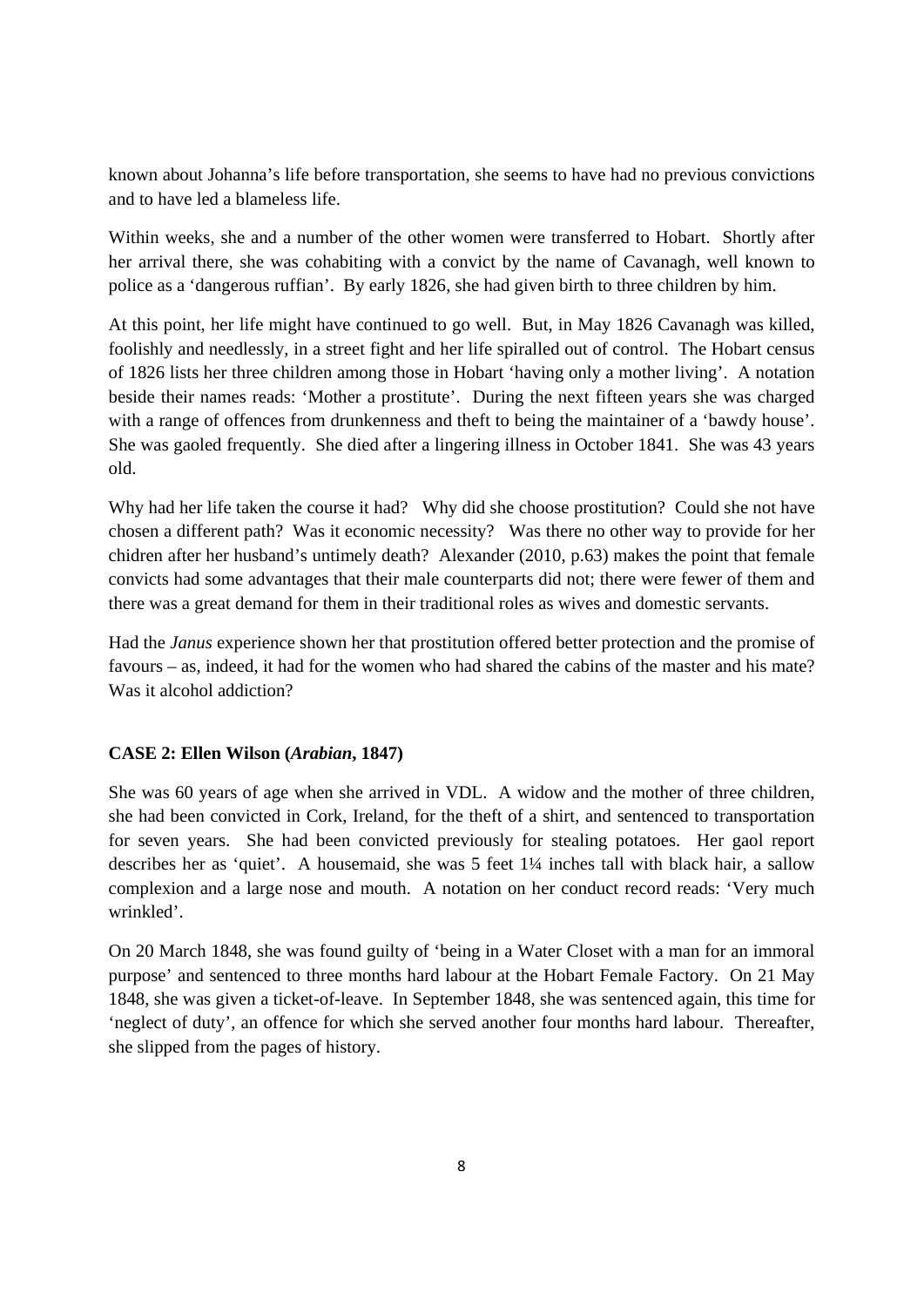known about Johanna's life before transportation, she seems to have had no previous convictions and to have led a blameless life.

Within weeks, she and a number of the other women were transferred to Hobart. Shortly after her arrival there, she was cohabiting with a convict by the name of Cavanagh, well known to police as a 'dangerous ruffian'. By early 1826, she had given birth to three children by him.

At this point, her life might have continued to go well. But, in May 1826 Cavanagh was killed, foolishly and needlessly, in a street fight and her life spiralled out of control. The Hobart census of 1826 lists her three children among those in Hobart 'having only a mother living'. A notation beside their names reads: 'Mother a prostitute'. During the next fifteen years she was charged with a range of offences from drunkenness and theft to being the maintainer of a 'bawdy house'. She was gaoled frequently. She died after a lingering illness in October 1841. She was 43 years old.

Why had her life taken the course it had? Why did she choose prostitution? Could she not have chosen a different path? Was it economic necessity? Was there no other way to provide for her chidren after her husband's untimely death? Alexander (2010, p.63) makes the point that female convicts had some advantages that their male counterparts did not; there were fewer of them and there was a great demand for them in their traditional roles as wives and domestic servants.

Had the *Janus* experience shown her that prostitution offered better protection and the promise of favours – as, indeed, it had for the women who had shared the cabins of the master and his mate? Was it alcohol addiction?

## **CASE 2: Ellen Wilson (***Arabian***, 1847)**

She was 60 years of age when she arrived in VDL. A widow and the mother of three children, she had been convicted in Cork, Ireland, for the theft of a shirt, and sentenced to transportation for seven years. She had been convicted previously for stealing potatoes. Her gaol report describes her as 'quiet'. A housemaid, she was 5 feet 1¼ inches tall with black hair, a sallow complexion and a large nose and mouth. A notation on her conduct record reads: 'Very much wrinkled'.

On 20 March 1848, she was found guilty of 'being in a Water Closet with a man for an immoral purpose' and sentenced to three months hard labour at the Hobart Female Factory. On 21 May 1848, she was given a ticket-of-leave. In September 1848, she was sentenced again, this time for 'neglect of duty', an offence for which she served another four months hard labour. Thereafter, she slipped from the pages of history.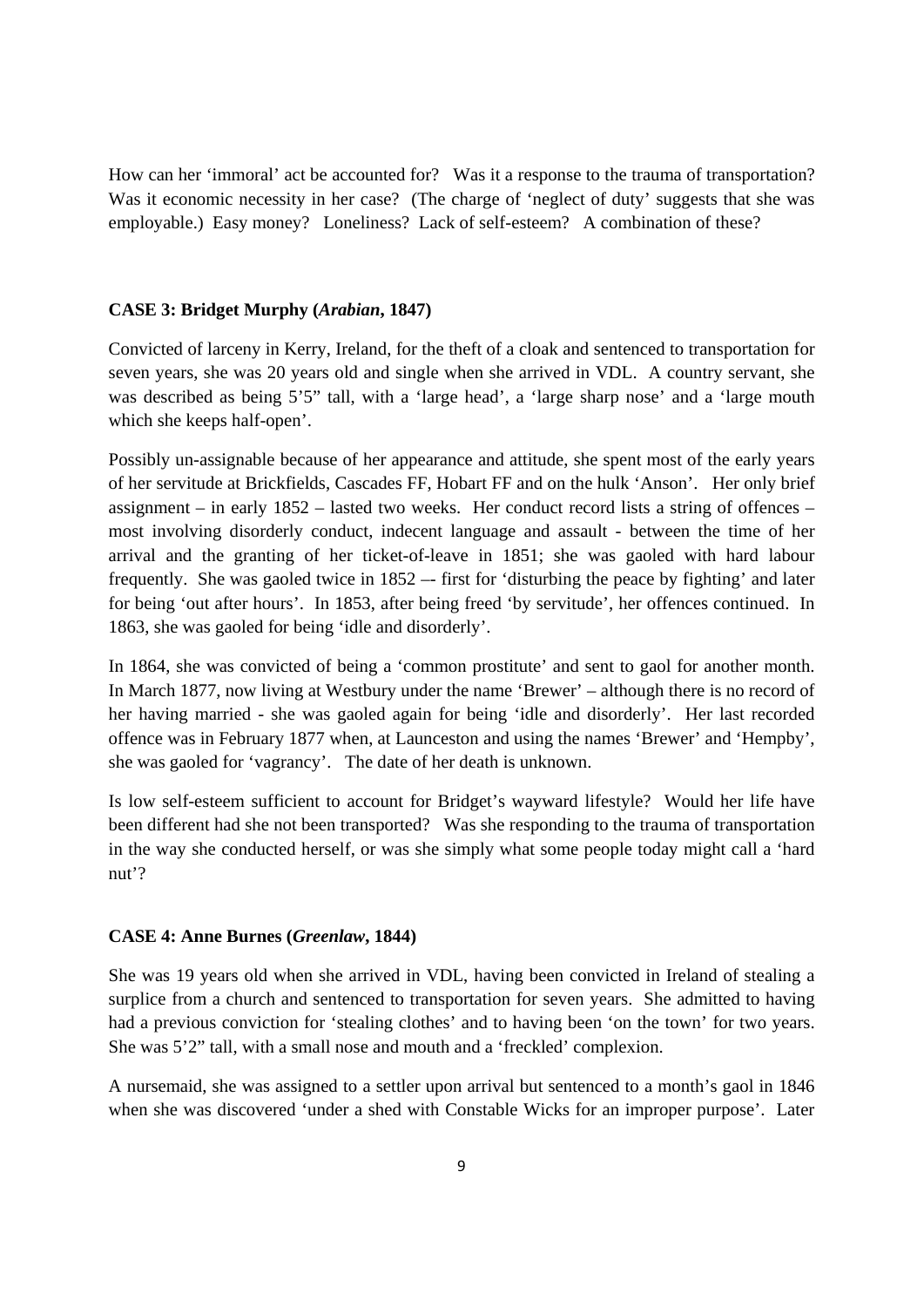How can her 'immoral' act be accounted for? Was it a response to the trauma of transportation? Was it economic necessity in her case? (The charge of 'neglect of duty' suggests that she was employable.) Easy money? Loneliness? Lack of self-esteem? A combination of these?

#### **CASE 3: Bridget Murphy (***Arabian***, 1847)**

Convicted of larceny in Kerry, Ireland, for the theft of a cloak and sentenced to transportation for seven years, she was 20 years old and single when she arrived in VDL. A country servant, she was described as being 5'5" tall, with a 'large head', a 'large sharp nose' and a 'large mouth which she keeps half-open'.

Possibly un-assignable because of her appearance and attitude, she spent most of the early years of her servitude at Brickfields, Cascades FF, Hobart FF and on the hulk 'Anson'. Her only brief assignment – in early 1852 – lasted two weeks. Her conduct record lists a string of offences – most involving disorderly conduct, indecent language and assault - between the time of her arrival and the granting of her ticket-of-leave in 1851; she was gaoled with hard labour frequently. She was gaoled twice in  $1852 -$  first for 'disturbing the peace by fighting' and later for being 'out after hours'. In 1853, after being freed 'by servitude', her offences continued. In 1863, she was gaoled for being 'idle and disorderly'.

In 1864, she was convicted of being a 'common prostitute' and sent to gaol for another month. In March 1877, now living at Westbury under the name 'Brewer' – although there is no record of her having married - she was gaoled again for being 'idle and disorderly'. Her last recorded offence was in February 1877 when, at Launceston and using the names 'Brewer' and 'Hempby', she was gaoled for 'vagrancy'. The date of her death is unknown.

Is low self-esteem sufficient to account for Bridget's wayward lifestyle? Would her life have been different had she not been transported? Was she responding to the trauma of transportation in the way she conducted herself, or was she simply what some people today might call a 'hard nut'?

#### **CASE 4: Anne Burnes (***Greenlaw***, 1844)**

She was 19 years old when she arrived in VDL, having been convicted in Ireland of stealing a surplice from a church and sentenced to transportation for seven years. She admitted to having had a previous conviction for 'stealing clothes' and to having been 'on the town' for two years. She was 5'2" tall, with a small nose and mouth and a 'freckled' complexion.

A nursemaid, she was assigned to a settler upon arrival but sentenced to a month's gaol in 1846 when she was discovered 'under a shed with Constable Wicks for an improper purpose'. Later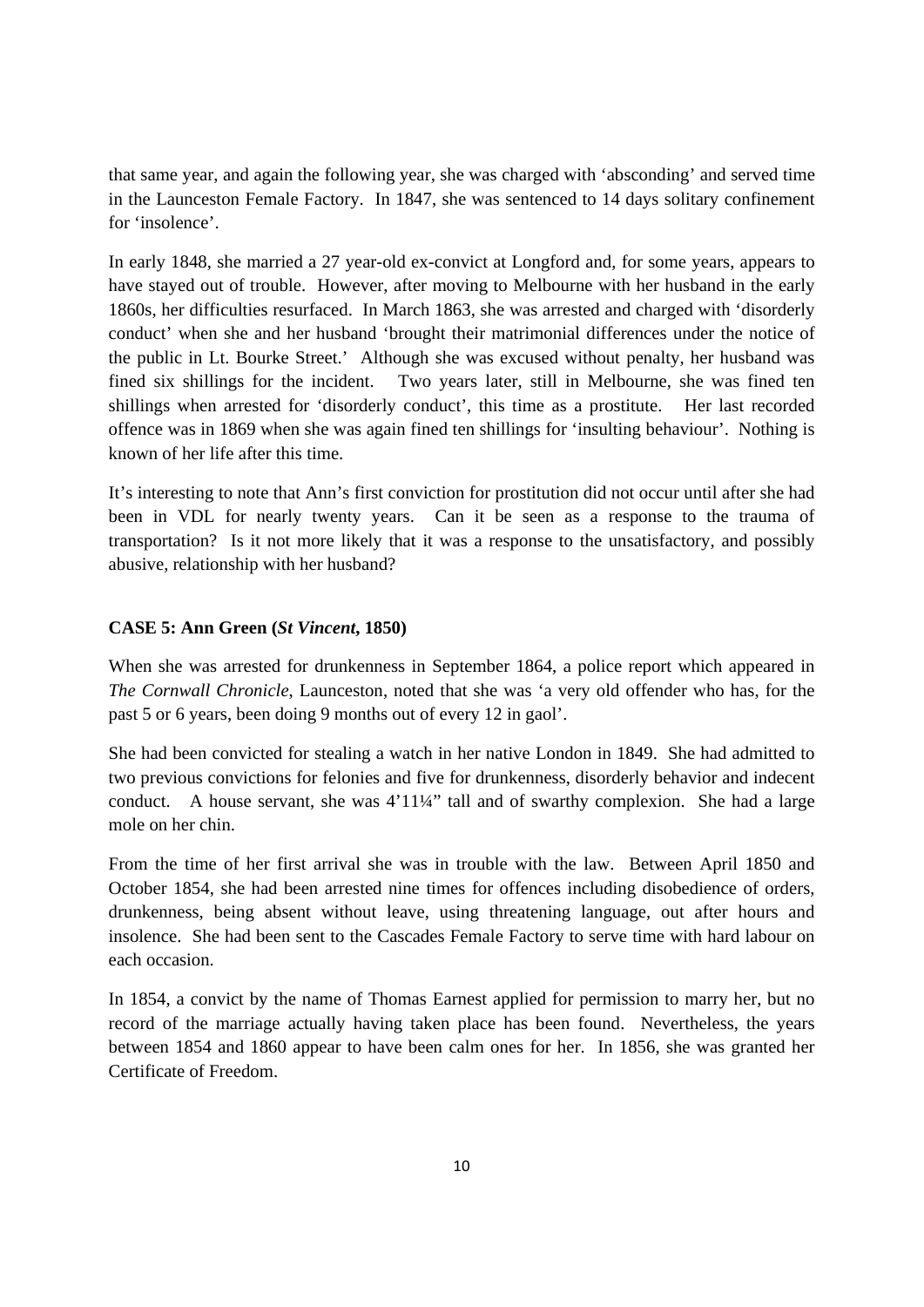that same year, and again the following year, she was charged with 'absconding' and served time in the Launceston Female Factory. In 1847, she was sentenced to 14 days solitary confinement for 'insolence'.

In early 1848, she married a 27 year-old ex-convict at Longford and, for some years, appears to have stayed out of trouble. However, after moving to Melbourne with her husband in the early 1860s, her difficulties resurfaced. In March 1863, she was arrested and charged with 'disorderly conduct' when she and her husband 'brought their matrimonial differences under the notice of the public in Lt. Bourke Street.' Although she was excused without penalty, her husband was fined six shillings for the incident. Two years later, still in Melbourne, she was fined ten shillings when arrested for 'disorderly conduct', this time as a prostitute. Her last recorded offence was in 1869 when she was again fined ten shillings for 'insulting behaviour'. Nothing is known of her life after this time.

It's interesting to note that Ann's first conviction for prostitution did not occur until after she had been in VDL for nearly twenty years. Can it be seen as a response to the trauma of transportation? Is it not more likely that it was a response to the unsatisfactory, and possibly abusive, relationship with her husband?

### **CASE 5: Ann Green (***St Vincent***, 1850)**

When she was arrested for drunkenness in September 1864, a police report which appeared in *The Cornwall Chronicle*, Launceston, noted that she was 'a very old offender who has, for the past 5 or 6 years, been doing 9 months out of every 12 in gaol'.

She had been convicted for stealing a watch in her native London in 1849. She had admitted to two previous convictions for felonies and five for drunkenness, disorderly behavior and indecent conduct. A house servant, she was 4'11¼" tall and of swarthy complexion. She had a large mole on her chin.

From the time of her first arrival she was in trouble with the law. Between April 1850 and October 1854, she had been arrested nine times for offences including disobedience of orders, drunkenness, being absent without leave, using threatening language, out after hours and insolence. She had been sent to the Cascades Female Factory to serve time with hard labour on each occasion.

In 1854, a convict by the name of Thomas Earnest applied for permission to marry her, but no record of the marriage actually having taken place has been found. Nevertheless, the years between 1854 and 1860 appear to have been calm ones for her. In 1856, she was granted her Certificate of Freedom.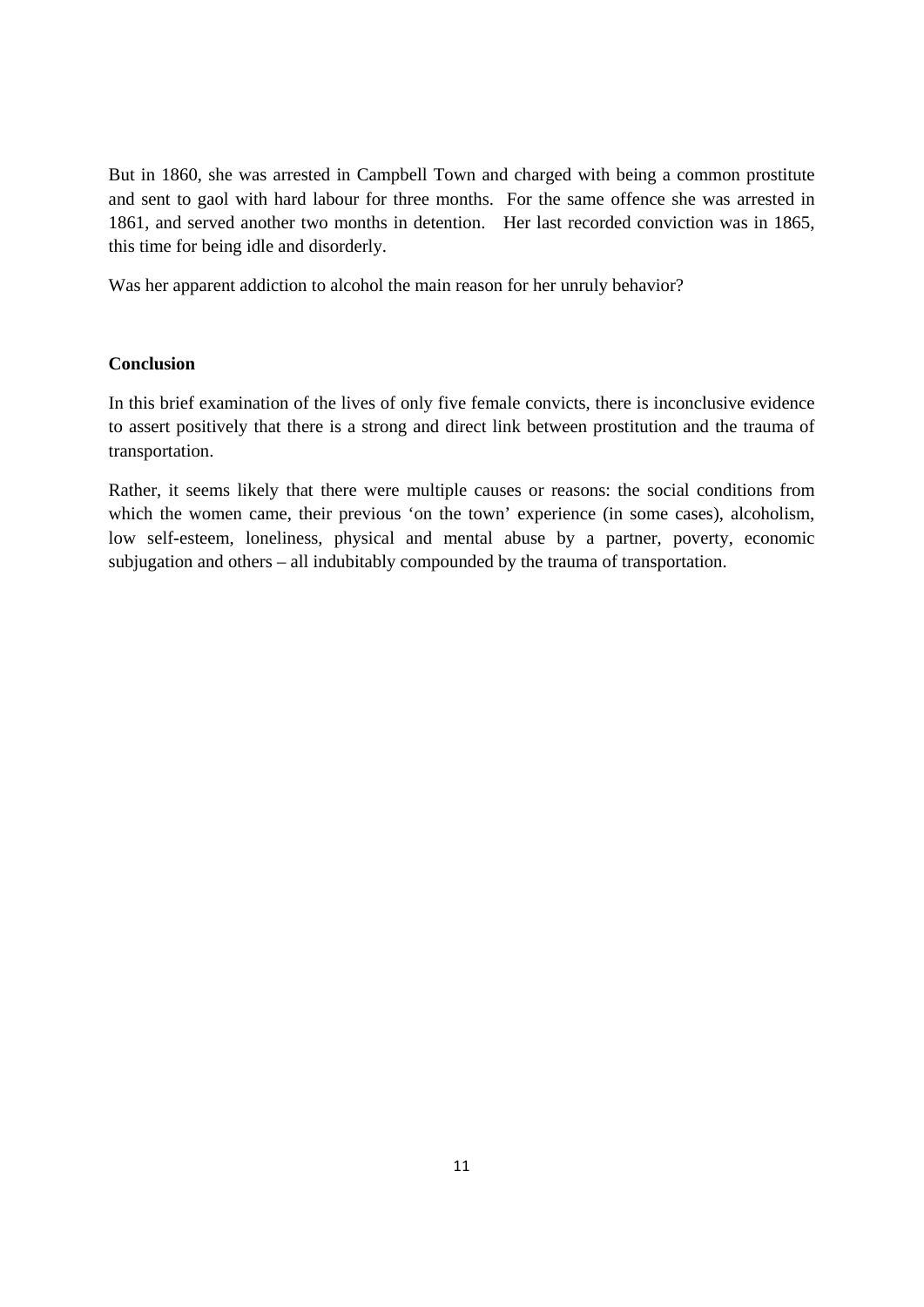But in 1860, she was arrested in Campbell Town and charged with being a common prostitute and sent to gaol with hard labour for three months. For the same offence she was arrested in 1861, and served another two months in detention. Her last recorded conviction was in 1865, this time for being idle and disorderly.

Was her apparent addiction to alcohol the main reason for her unruly behavior?

### **Conclusion**

In this brief examination of the lives of only five female convicts, there is inconclusive evidence to assert positively that there is a strong and direct link between prostitution and the trauma of transportation.

Rather, it seems likely that there were multiple causes or reasons: the social conditions from which the women came, their previous 'on the town' experience (in some cases), alcoholism, low self-esteem, loneliness, physical and mental abuse by a partner, poverty, economic subjugation and others – all indubitably compounded by the trauma of transportation.